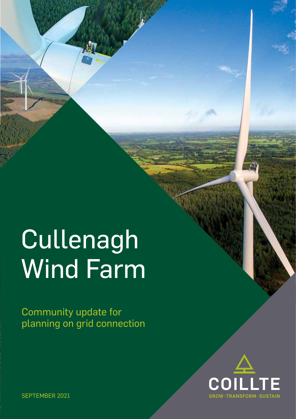# Cullenagh Wind Farm

Community update for planning on grid connection



SEPTEMBER 2021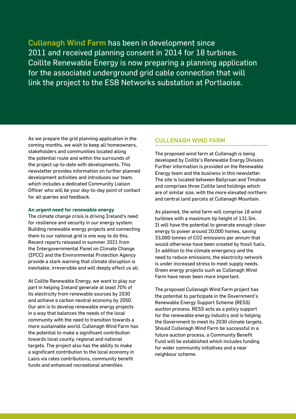Cullenagh Wind Farm has been in development since 2011 and received planning consent in 2014 for 18 turbines. Coillte Renewable Energy is now preparing a planning application for the associated underground grid cable connection that will link the project to the ESB Networks substation at Portlaoise.

As we prepare the grid planning application in the coming months, we wish to keep all homeowners, stakeholders and communities located along the potential route and within the surrounds of the project up-to-date with developments. This newsletter provides information on further planned development activities and introduces our team, which includes a dedicated Community Liaison Officer who will be your day-to-day point of contact for all queries and feedback.

#### **An urgent need for renewable energy**

The climate change crisis is driving Ireland's need for resilience and security in our energy system. Building renewable energy projects and connecting them to our national grid is one way to do this. Recent reports released in summer 2021 from the Intergovernmental Panel on Climate Change (IPCC) and the Environmental Protection Agency provide a stark warning that climate disruption is inevitable, irreversible and will deeply affect us all.

At Coillte Renewable Energy, we want to play our part in helping Ireland generate at least 70% of its electricity from renewable sources by 2030 and achieve a carbon neutral economy by 2050. Our aim is to develop renewable energy projects in a way that balances the needs of the local community with the need to transition towards a more sustainable world. Cullenagh Wind Farm has the potential to make a significant contribution towards local county, regional and national targets. The project also has the ability to make a significant contribution to the local economy in Laois via rates contributions, community benefit funds and enhanced recreational amenities.

#### CULLENAGH WIND FARM

The proposed wind farm at Cullenagh is being developed by Coillte's Renewable Energy Division. Further information is provided on the Renewable Energy team and the business in this newsletter. The site is located between Ballyroan and Timahoe and comprises three Coillte land holdings which are of similar size, with the more elevated northern and central land parcels at Cullenagh Mountain.

As planned, the wind farm will comprise 18 wind turbines with a maximum tip height of 131.5m. It will have the potential to generate enough clean energy to power around 20,000 homes, saving 33,000 tonnes of CO2 emissions per annum that would otherwise have been created by fossil fuels. In addition to the climate emergency and the need to reduce emissions, the electricity network is under increased stress to meet supply needs. Green energy projects such as Cullenagh Wind Farm have never been more important.

The proposed Cullenagh Wind Farm project has the potential to participate in the Government's Renewable Energy Support Scheme (RESS) auction process. RESS acts as a policy support for the renewable energy industry and is helping the Government to meet its 2030 climate targets. Should Cullenagh Wind Farm be successful in a future auction process, a Community Benefit Fund will be established which includes funding for wider community initiatives and a near neighbour scheme.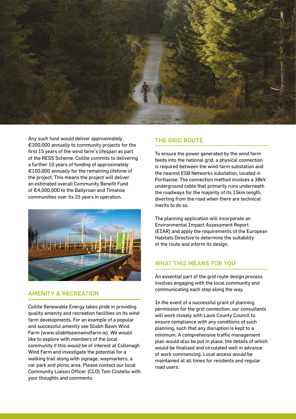

Any such fund would deliver approximately €200,000 annually to community projects for the first 15 years of the wind farm's lifespan as part of the RESS Scheme. Coillte commits to delivering a further 10 years of funding of approximately €100,000 annually for the remaining lifetime of the project. This means the project will deliver an estimated overall Community Benefit Fund of €4,000,000 to the Ballyroan and Timahoe communities over its 25 years in operation.



# AMENITY & RECREATION

Coillte Renewable Energy takes pride in providing quality amenity and recreation facilities on its wind farm developments. For an example of a popular and successful amenity see Sliabh Bawn Wind Farm (www.sliabhbawnwindfarm.ie). We would like to explore with members of the local community if this would be of interest at Cullenagh Wind Farm and investigate the potential for a walking trail along with signage, waymarkers, a car park and picnic area. Please contact our local Community Liaison Officer (CLO) Tom Costello with your thoughts and comments.

## THE GRID ROUTE

To ensure the power generated by the wind farm feeds into the national grid, a physical connection is required between the wind farm substation and the nearest ESB Networks substation, located in Portlaoise. The connection method involves a 38kV underground cable that primarily runs underneath the roadways for the majority of its 15km length, diverting from the road when there are technical merits to do so.

The planning application will incorporate an Environmental Impact Assessment Report (EIAR) and apply the requirements of the European Habitats Directive to determine the suitability of the route and inform its design.

# WHAT THIS MEANS FOR YOU

An essential part of the grid route design process involves engaging with the local community and communicating each step along the way.

In the event of a successful grant of planning permission for the grid connection, our consultants will work closely with Laois County Council to ensure compliance with any conditions of such planning, such that any disruption is kept to a minimum. A comprehensive traffic management plan would also be put in place, the details of which would be finalised and circulated well in advance of work commencing. Local access would be maintained at all times for residents and regular road users.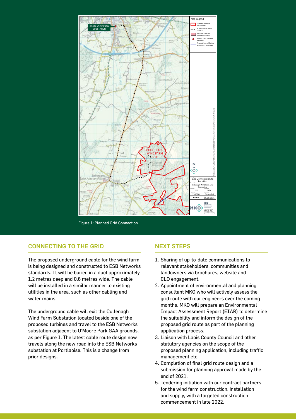

Figure 1: Planned Grid Connection.

# CONNECTING TO THE GRID

The proposed underground cable for the wind farm is being designed and constructed to ESB Networks standards. It will be buried in a duct approximately 1.2 metres deep and 0.6 metres wide. The cable will be installed in a similar manner to existing utilities in the area, such as other cabling and water mains.

The underground cable will exit the Cullenagh Wind Farm Substation located beside one of the proposed turbines and travel to the ESB Networks substation adjacent to O'Moore Park GAA grounds, as per Figure 1. The latest cable route design now travels along the new road into the ESB Networks substation at Portlaoise. This is a change from prior designs.

#### NEXT STEPS

- 1. Sharing of up-to-date communications to relevant stakeholders, communities and landowners via brochures, website and CLO engagement.
- 2. Appointment of environmental and planning consultant MKO who will actively assess the grid route with our engineers over the coming months. MKO will prepare an Environmental Impact Assessment Report (EIAR) to determine the suitability and inform the design of the proposed grid route as part of the planning application process.
- 3. Liaison with Laois County Council and other statutory agencies on the scope of the proposed planning application, including traffic management etc.
- 4. Completion of final grid route design and a submission for planning approval made by the end of 2021.
- 5. Tendering initiation with our contract partners for the wind farm construction, installation and supply, with a targeted construction commencement in late 2022.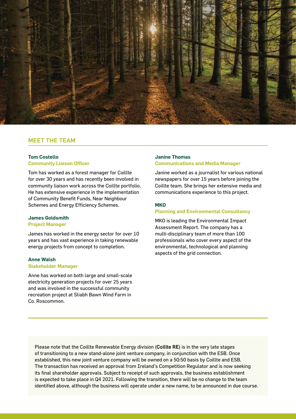

## MEET THE TEAM

### **Tom Costello Community Liaison Officer**

Tom has worked as a forest manager for Coillte for over 30 years and has recently been involved in community liaison work across the Coillte portfolio. He has extensive experience in the implementation of Community Benefit Funds, Near Neighbour Schemes and Energy Efficiency Schemes.

## **James Goldsmith**

#### **Project Manager**

James has worked in the energy sector for over 10 years and has vast experience in taking renewable energy projects from concept to completion.

#### **Anne Walsh Stakeholder Manager**

Anne has worked on both large and small-scale electricity generation projects for over 25 years and was involved in the successful community recreation project at Sliabh Bawn Wind Farm in Co. Roscommon.

#### **Janine Thomas Communications and Media Manager**

Janine worked as a journalist for various national newspapers for over 15 years before joining the Coillte team. She brings her extensive media and communications experience to this project.

#### **MKO**

#### **Planning and Environmental Consultancy**

MKO is leading the Environmental Impact Assessment Report. The company has a multi-disciplinary team of more than 100 professionals who cover every aspect of the environmental, technological and planning aspects of the grid connection.

Please note that the Coillte Renewable Energy division (Coillte RE) is in the very late stages of transitioning to a new stand-alone joint venture company, in conjunction with the ESB. Once established, this new joint venture company will be owned on a 50:50 basis by Coillte and ESB. The transaction has received an approval from Ireland's Competition Regulator and is now seeking its final shareholder approvals. Subject to receipt of such approvals, the business establishment is expected to take place in Q4 2021. Following the transition, there will be no change to the team identified above, although the business will operate under a new name, to be announced in due course.